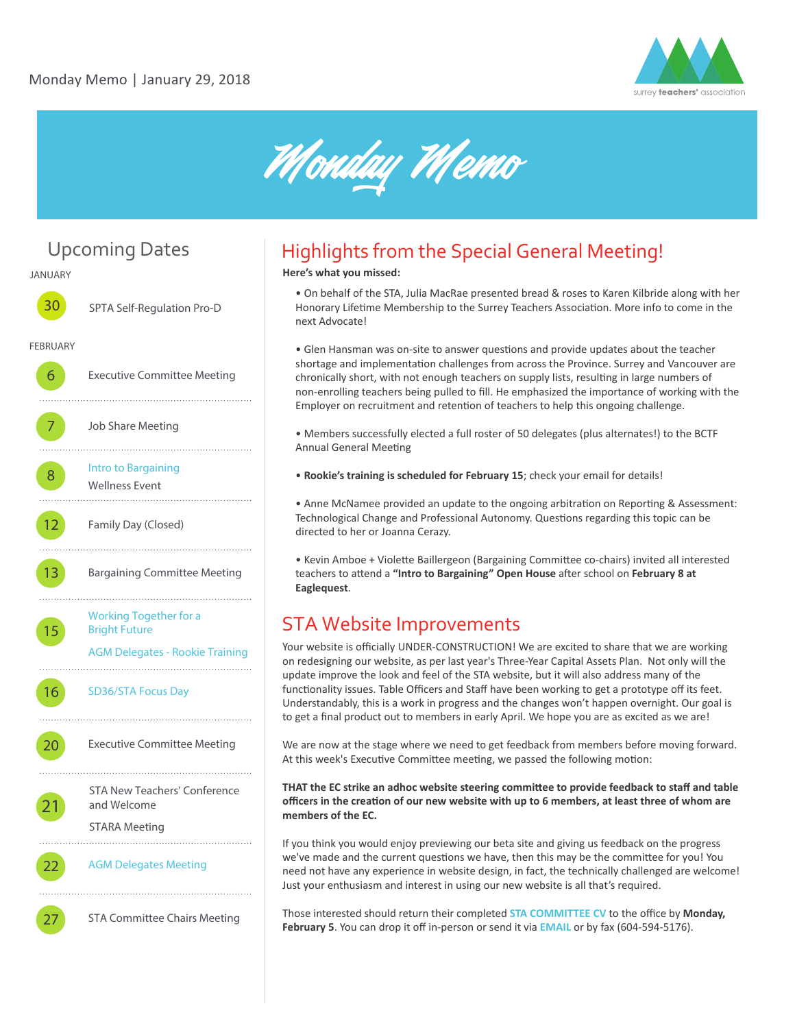



# Upcoming Dates

**JANUARY 30** SPTA Self-Regulation Pro-D **FEBRUARY** 6 Executive Committee Meeting Job Share Meeting 8 [Intro to Bargaining](introtobargaining.eventbrite.ca) Wellness Event 12 Family Day (Closed) . . . . . . . . . . . . . 13 Bargaining Committee Meeting . . . . . . . . . [Working Together for a](http://workingtogether-february2017.eventbrite.ca)  15 Bright Future [AGM Delegates - Rookie Training](http://rookie-agm-2018.eventbrite.ca) . . . . . . . . . . . . . 16

[SD36/STA Focus Day](https://surreyfocusday.ca/)

20 **Executive Committee Meeting** 

STA New Teachers' Conference and Welcome

STARA Meeting

21

22 AGM Delegates Meeting

27 STA Committee Chairs Meeting

# Highlights from the Special General Meeting!

**Here's what you missed:**

• On behalf of the STA, Julia MacRae presented bread & roses to Karen Kilbride along with her Honorary Lifetime Membership to the Surrey Teachers Association. More info to come in the next Advocate!

• Glen Hansman was on-site to answer questions and provide updates about the teacher shortage and implementation challenges from across the Province. Surrey and Vancouver are chronically short, with not enough teachers on supply lists, resulting in large numbers of non-enrolling teachers being pulled to fill. He emphasized the importance of working with the Employer on recruitment and retention of teachers to help this ongoing challenge.

• Members successfully elected a full roster of 50 delegates (plus alternates!) to the BCTF Annual General Meeting

• **Rookie's training is scheduled for February 15**; check your email for details!

• Anne McNamee provided an update to the ongoing arbitration on Reporting & Assessment: Technological Change and Professional Autonomy. Questions regarding this topic can be directed to her or Joanna Cerazy.

• Kevin Amboe + Violette Baillergeon (Bargaining Committee co-chairs) invited all interested teachers to attend a "Intro to Bargaining" Open House after school on February 8 at **Eaglequest**.

#### STA Website Improvements

Your website is officially UNDER-CONSTRUCTION! We are excited to share that we are working on redesigning our website, as per last year's Three-Year Capital Assets Plan. Not only will the update improve the look and feel of the STA website, but it will also address many of the functionality issues. Table Officers and Staff have been working to get a prototype off its feet. Understandably, this is a work in progress and the changes won't happen overnight. Our goal is to get a final product out to members in early April. We hope you are as excited as we are!

We are now at the stage where we need to get feedback from members before moving forward. At this week's Executive Committee meeting, we passed the following motion:

**THAT the EC strike an adhoc website steering commi�ee to provide feedback to staff and table officers in the crea�on of our new website with up to 6 members, at least three of whom are members of the EC.**

If you think you would enjoy previewing our beta site and giving us feedback on the progress we've made and the current questions we have, then this may be the committee for you! You need not have any experience in website design, in fact, the technically challenged are welcome! Just your enthusiasm and interest in using our new website is all that's required.

Those interested should return their completed **[STA COMMITTEE CV](http://www.surreyteachers.org/documents/Forms/STA_CMT_CV_Form.pdf)** to the office by **Monday, February 5**. You can drop it off in-person or send it via **[EMAIL](mailto:sta@surreyteachers.org)** or by fax (604-594-5176).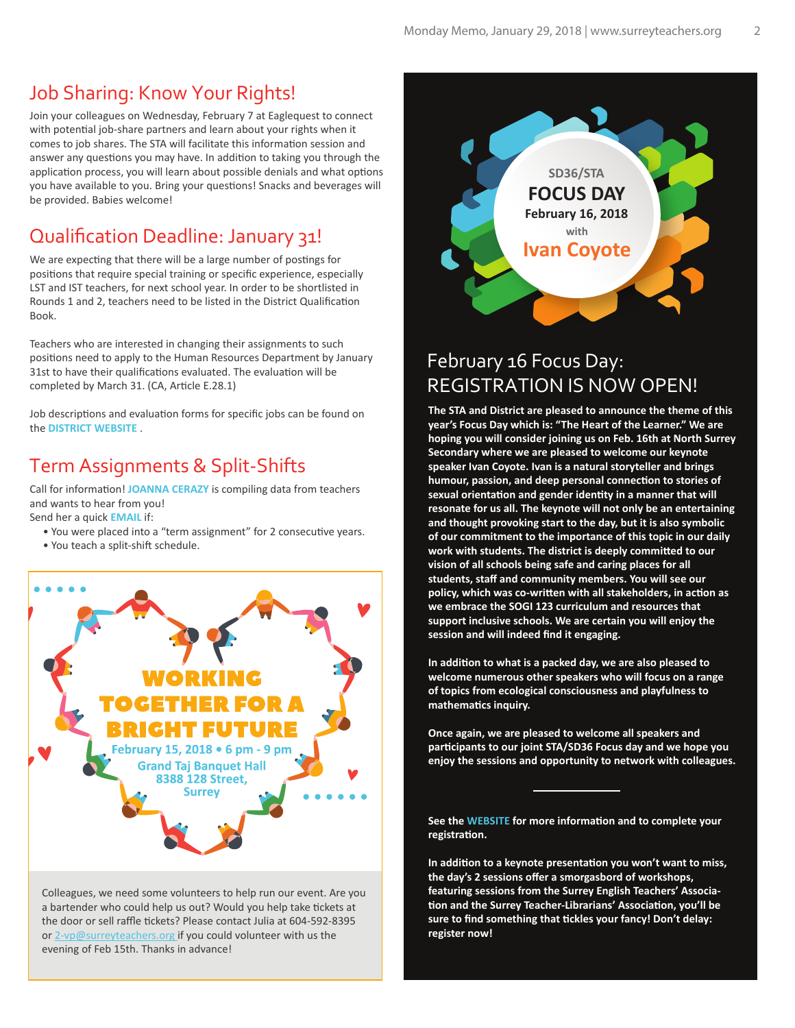#### Job Sharing: Know Your Rights!

Join your colleagues on Wednesday, February 7 at Eaglequest to connect with potential job-share partners and learn about your rights when it comes to job shares. The STA will facilitate this information session and answer any questions you may have. In addition to taking you through the application process, you will learn about possible denials and what options you have available to you. Bring your questions! Snacks and beverages will be provided. Babies welcome!

## Qualification Deadline: January 31!

We are expecting that there will be a large number of postings for positions that require special training or specific experience, especially LST and IST teachers, for next school year. In order to be shortlisted in Rounds 1 and 2, teachers need to be listed in the District Qualification Book.

Teachers who are interested in changing their assignments to such positions need to apply to the Human Resources Department by January 31st to have their qualifications evaluated. The evaluation will be completed by March 31. (CA, Article E.28.1)

Job descriptions and evaluation forms for specific jobs can be found on the **[DISTRICT WEBSITE](https://www.surreyschools.ca/careers/jobdescriptionhandbook/Pages/default.aspx)** .

## Term Assignments & Split-Shifts

Call for information! **[JOANNA CERAZY](grv-spt@surreyteachers.org)** is compiling data from teachers and wants to hear from you!

Send her a quick **[EMAIL](grv-spt@surreyteachers.org)** if:

- You were placed into a "term assignment" for 2 consecutive years.
- You teach a split-shift schedule.



Colleagues, we need some volunteers to help run our event. Are you a bartender who could help us out? Would you help take tickets at the door or sell raffle tickets? Please contact Julia at 604-592-8395 or 2-vp@surreyteachers.org if you could volunteer with us the evening of Feb 15th. Thanks in advance!



#### February 16 Focus Day: REGISTRATION IS NOW OPEN!

**The STA and District are pleased to announce the theme of this year's Focus Day which is: "The Heart of the Learner." We are hoping you will consider joining us on Feb. 16th at North Surrey Secondary where we are pleased to welcome our keynote speaker Ivan Coyote. Ivan is a natural storyteller and brings**  humour, passion, and deep personal connection to stories of sexual orientation and gender identity in a manner that will **resonate for us all. The keynote will not only be an entertaining and thought provoking start to the day, but it is also symbolic of our commitment to the importance of this topic in our daily work with students. The district is deeply commi�ed to our vision of all schools being safe and caring places for all students, staff and community members. You will see our**  policy, which was co-written with all stakeholders, in action as **we embrace the SOGI 123 curriculum and resources that support inclusive schools. We are certain you will enjoy the session and will indeed find it engaging.** 

In addition to what is a packed day, we are also pleased to **welcome numerous other speakers who will focus on a range of topics from ecological consciousness and playfulness to mathema�cs inquiry.** 

**Once again, we are pleased to welcome all speakers and par�cipants to our joint STA/SD36 Focus day and we hope you enjoy the sessions and opportunity to network with colleagues.**

**See th[e WEBSITE](https://surreyfocusday.ca/) for more informa�on and to complete your**  registration.

In addition to a keynote presentation you won't want to miss, **the day's 2 sessions offer a smorgasbord of workshops, featuring sessions from the Surrey English Teachers' Associa** tion and the Surrey Teacher-Librarians' Association, you'll be sure to find something that tickles your fancy! Don't delay: **register now!**